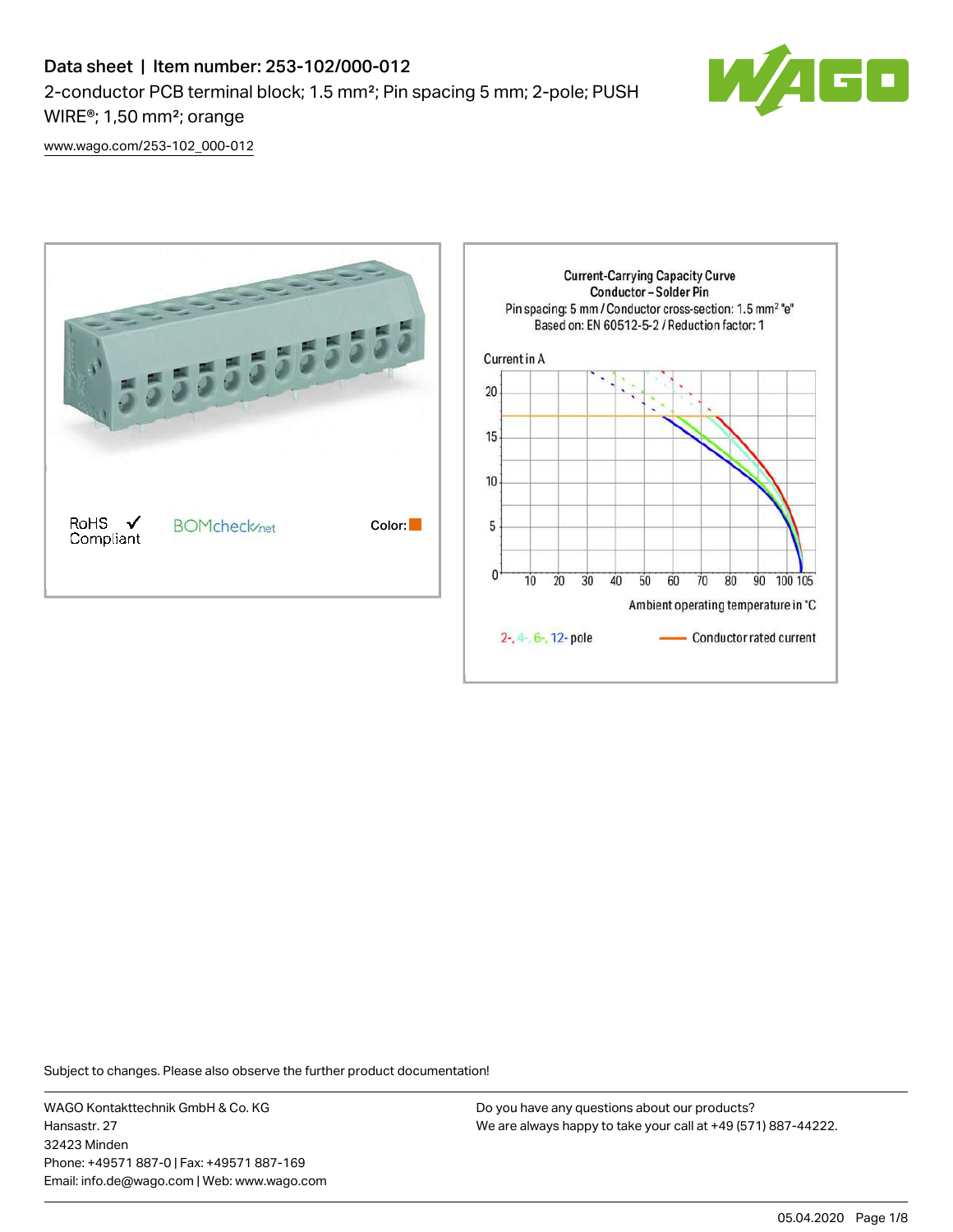

[www.wago.com/253-102\\_000-012](http://www.wago.com/253-102_000-012)



Subject to changes. Please also observe the further product documentation!

WAGO Kontakttechnik GmbH & Co. KG Hansastr. 27 32423 Minden Phone: +49571 887-0 | Fax: +49571 887-169 Email: info.de@wago.com | Web: www.wago.com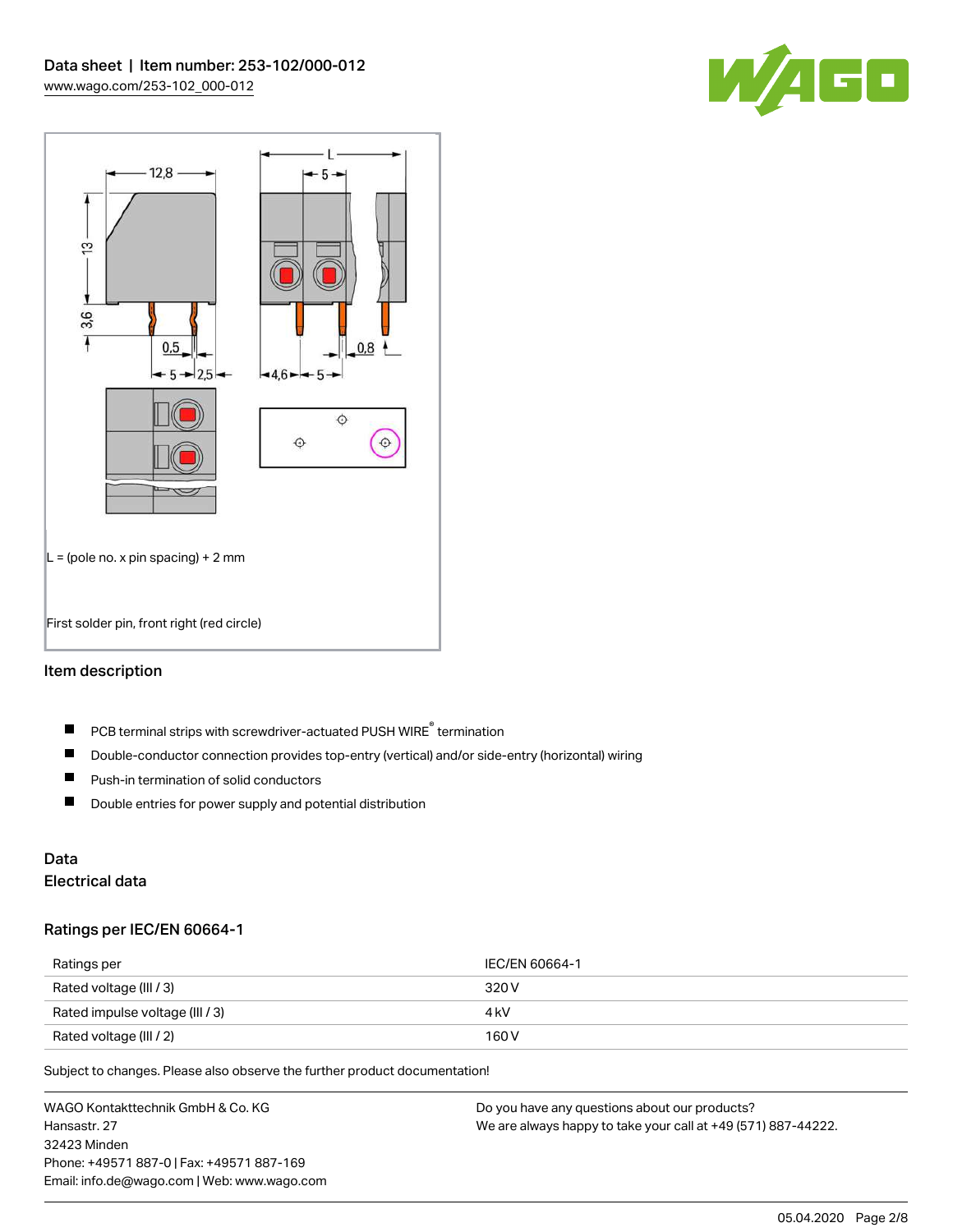



## Item description

- PCB terminal strips with screwdriver-actuated PUSH WIRE® termination  $\blacksquare$
- $\blacksquare$ Double-conductor connection provides top-entry (vertical) and/or side-entry (horizontal) wiring
- $\blacksquare$ Push-in termination of solid conductors
- $\blacksquare$ Double entries for power supply and potential distribution

# Data

## Electrical data

#### Ratings per IEC/EN 60664-1

| Ratings per                     | IEC/EN 60664-1 |
|---------------------------------|----------------|
| Rated voltage (III / 3)         | 320 V          |
| Rated impulse voltage (III / 3) | 4 kV           |
| Rated voltage (III / 2)         | 160 V          |

Subject to changes. Please also observe the further product documentation!

WAGO Kontakttechnik GmbH & Co. KG Hansastr. 27 32423 Minden Phone: +49571 887-0 | Fax: +49571 887-169 Email: info.de@wago.com | Web: www.wago.com Do you have any questions about our products? We are always happy to take your call at +49 (571) 887-44222.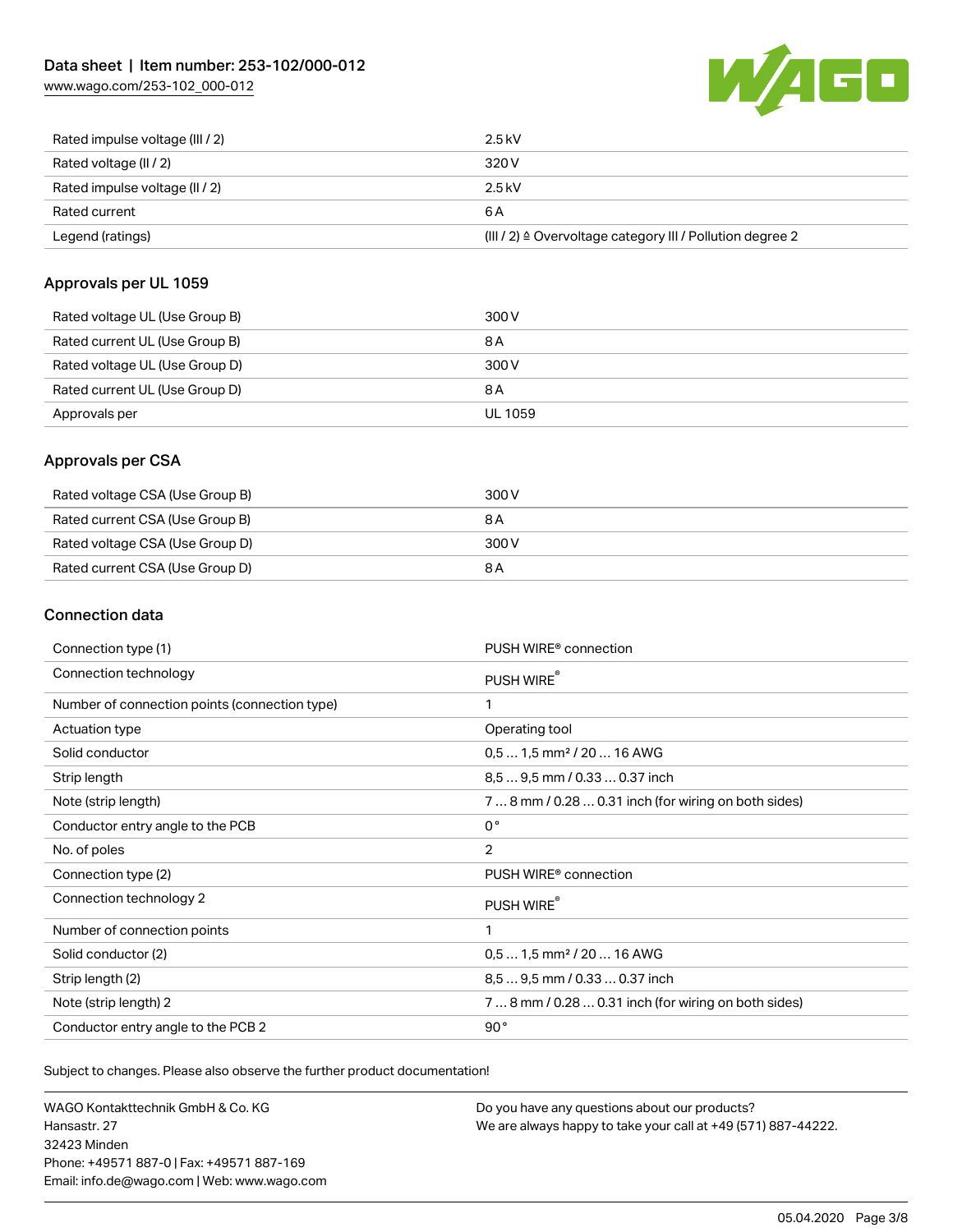[www.wago.com/253-102\\_000-012](http://www.wago.com/253-102_000-012)



| Rated impulse voltage (III / 2) | $2.5$ kV                                                  |
|---------------------------------|-----------------------------------------------------------|
| Rated voltage (II / 2)          | 320 V                                                     |
| Rated impulse voltage (II / 2)  | 2.5 kV                                                    |
| Rated current                   | 6 A                                                       |
| Legend (ratings)                | (III / 2) ≙ Overvoltage category III / Pollution degree 2 |

#### Approvals per UL 1059

| Rated voltage UL (Use Group B) | 300 V   |
|--------------------------------|---------|
| Rated current UL (Use Group B) | 8 A     |
| Rated voltage UL (Use Group D) | 300 V   |
| Rated current UL (Use Group D) | 8 A     |
| Approvals per                  | UL 1059 |

### Approvals per CSA

| Rated voltage CSA (Use Group B) | 300 V |
|---------------------------------|-------|
| Rated current CSA (Use Group B) | 8 A   |
| Rated voltage CSA (Use Group D) | 300 V |
| Rated current CSA (Use Group D) | 8 A   |

## Connection data

| Connection type (1)                           | PUSH WIRE <sup>®</sup> connection                    |
|-----------------------------------------------|------------------------------------------------------|
| Connection technology                         | PUSH WIRE®                                           |
| Number of connection points (connection type) | 1                                                    |
| Actuation type                                | Operating tool                                       |
| Solid conductor                               | $0.51.5$ mm <sup>2</sup> / 20  16 AWG                |
| Strip length                                  | 8,5  9,5 mm / 0.33  0.37 inch                        |
| Note (strip length)                           | 7  8 mm / 0.28  0.31 inch (for wiring on both sides) |
| Conductor entry angle to the PCB              | $0^{\circ}$                                          |
| No. of poles                                  | $\overline{2}$                                       |
| Connection type (2)                           | PUSH WIRE <sup>®</sup> connection                    |
| Connection technology 2                       | PUSH WIRE®                                           |
| Number of connection points                   | 1                                                    |
| Solid conductor (2)                           | $0.51.5$ mm <sup>2</sup> / 20  16 AWG                |
| Strip length (2)                              | 8.5  9.5 mm / 0.33  0.37 inch                        |
| Note (strip length) 2                         | 7  8 mm / 0.28  0.31 inch (for wiring on both sides) |
| Conductor entry angle to the PCB 2            | 90°                                                  |

Subject to changes. Please also observe the further product documentation!

WAGO Kontakttechnik GmbH & Co. KG Hansastr. 27 32423 Minden Phone: +49571 887-0 | Fax: +49571 887-169 Email: info.de@wago.com | Web: www.wago.com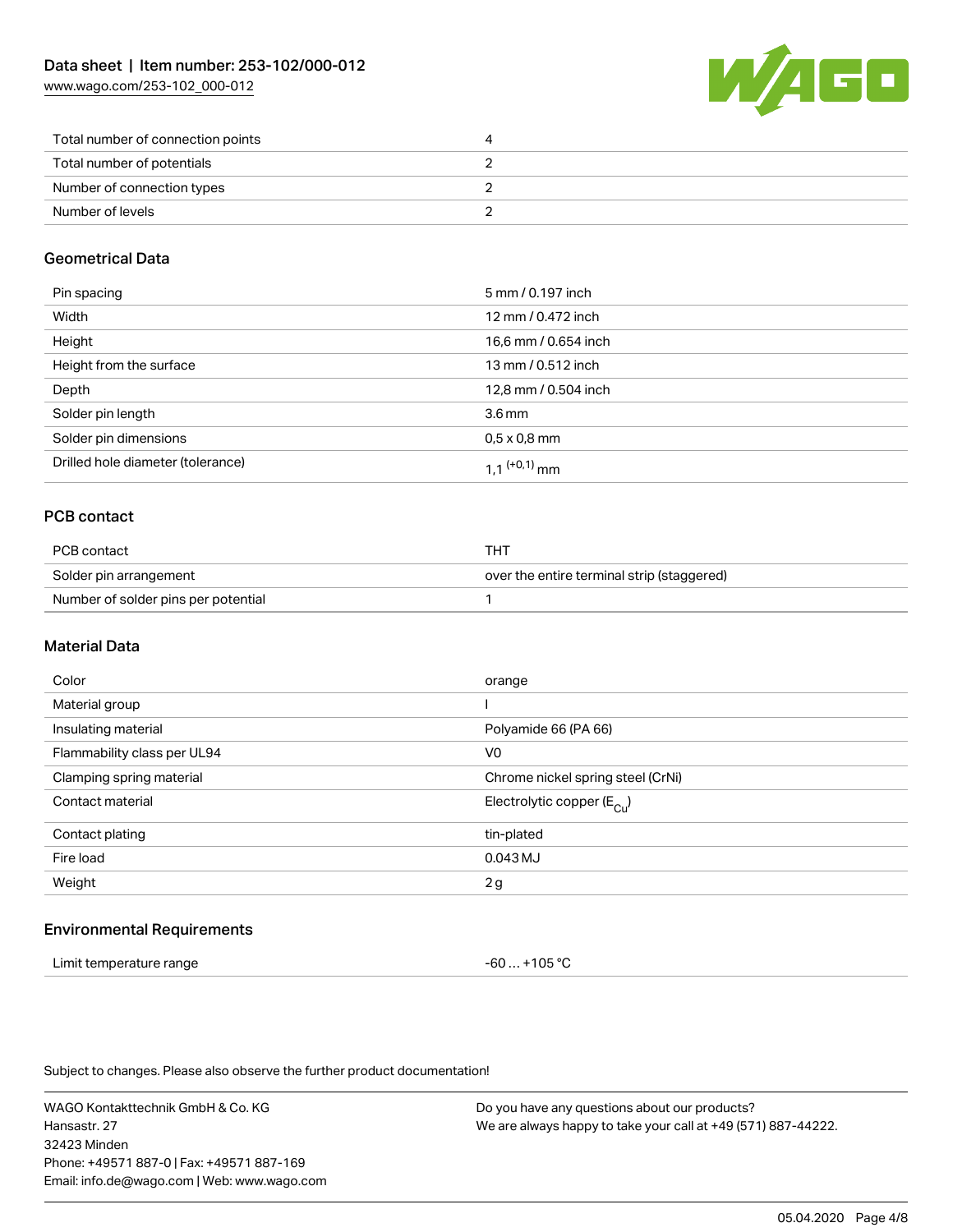[www.wago.com/253-102\\_000-012](http://www.wago.com/253-102_000-012)



| Total number of connection points |  |
|-----------------------------------|--|
| Total number of potentials        |  |
| Number of connection types        |  |
| Number of levels                  |  |

#### Geometrical Data

| Pin spacing                       | 5 mm / 0.197 inch    |
|-----------------------------------|----------------------|
| Width                             | 12 mm / 0.472 inch   |
| Height                            | 16,6 mm / 0.654 inch |
| Height from the surface           | 13 mm / 0.512 inch   |
| Depth                             | 12,8 mm / 0.504 inch |
| Solder pin length                 | 3.6 <sub>mm</sub>    |
| Solder pin dimensions             | $0.5 \times 0.8$ mm  |
| Drilled hole diameter (tolerance) | 1 1 $(0.1)$ mm       |

## PCB contact

| PCB contact                         | THT                                        |
|-------------------------------------|--------------------------------------------|
| Solder pin arrangement              | over the entire terminal strip (staggered) |
| Number of solder pins per potential |                                            |

#### Material Data

| Color                       | orange                                |
|-----------------------------|---------------------------------------|
| Material group              |                                       |
| Insulating material         | Polyamide 66 (PA 66)                  |
| Flammability class per UL94 | V <sub>0</sub>                        |
| Clamping spring material    | Chrome nickel spring steel (CrNi)     |
| Contact material            | Electrolytic copper $(E_{\text{Cl}})$ |
| Contact plating             | tin-plated                            |
| Fire load                   | 0.043 MJ                              |
| Weight                      | 2g                                    |
|                             |                                       |

#### Environmental Requirements

| Limit temperature range | -60  +105 °C |
|-------------------------|--------------|
|-------------------------|--------------|

Subject to changes. Please also observe the further product documentation!

WAGO Kontakttechnik GmbH & Co. KG Hansastr. 27 32423 Minden Phone: +49571 887-0 | Fax: +49571 887-169 Email: info.de@wago.com | Web: www.wago.com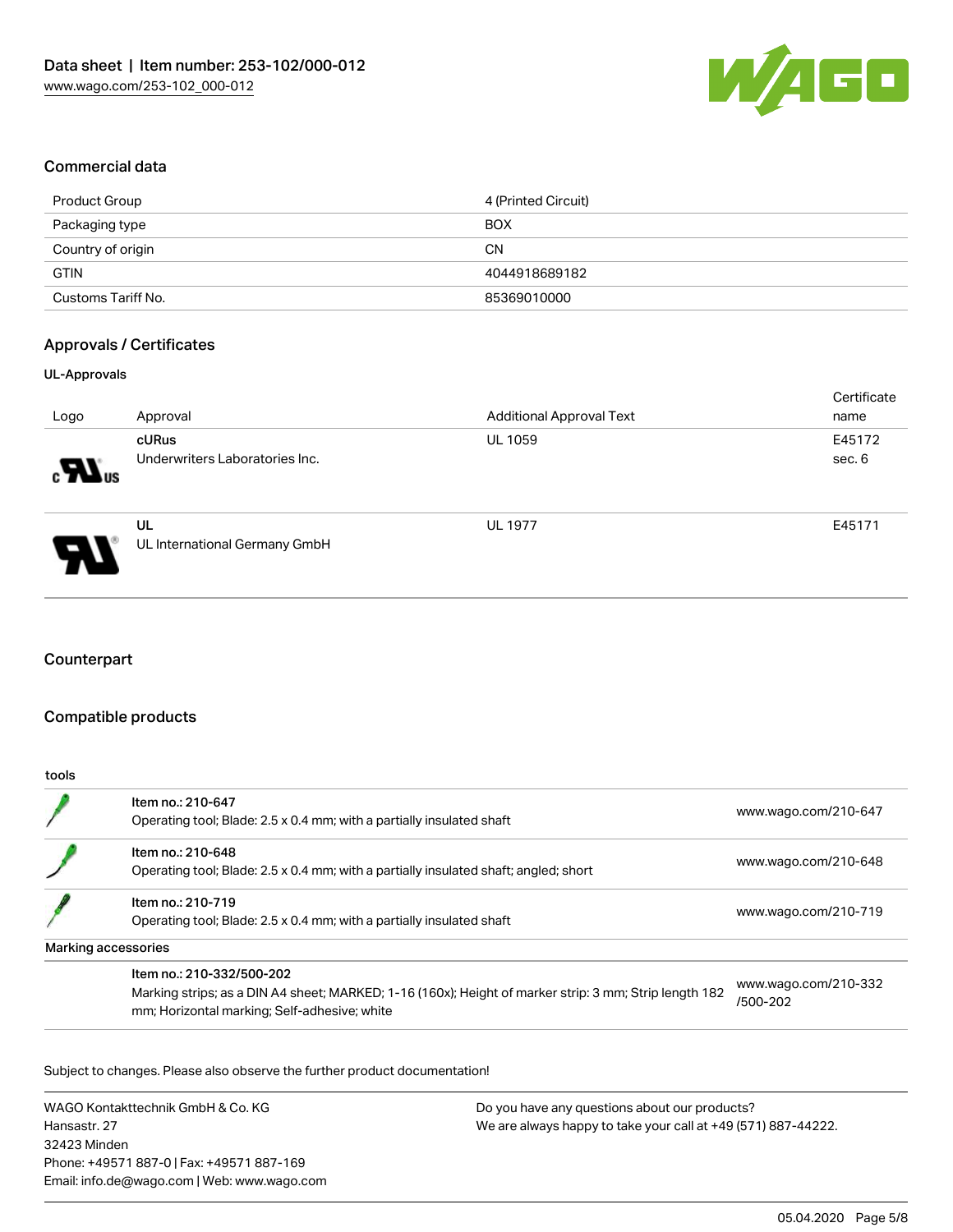

#### Commercial data

| Product Group      | 4 (Printed Circuit) |
|--------------------|---------------------|
| Packaging type     | <b>BOX</b>          |
| Country of origin  | CΝ                  |
| <b>GTIN</b>        | 4044918689182       |
| Customs Tariff No. | 85369010000         |

#### Approvals / Certificates

#### UL-Approvals

|                 |                                     |                                 | Certificate |
|-----------------|-------------------------------------|---------------------------------|-------------|
| Logo            | Approval                            | <b>Additional Approval Text</b> | name        |
|                 | cURus                               | <b>UL 1059</b>                  | E45172      |
| $\sum_{\alpha}$ | Underwriters Laboratories Inc.      |                                 | sec. 6      |
| Э.              | UL<br>UL International Germany GmbH | <b>UL 1977</b>                  | E45171      |

## **Counterpart**

#### Compatible products

| tools |                                                                                                                                                                                     |                                  |
|-------|-------------------------------------------------------------------------------------------------------------------------------------------------------------------------------------|----------------------------------|
|       | Item no.: 210-647<br>Operating tool; Blade: 2.5 x 0.4 mm; with a partially insulated shaft                                                                                          | www.wago.com/210-647             |
|       | Item no.: 210-648<br>Operating tool; Blade: 2.5 x 0.4 mm; with a partially insulated shaft; angled; short                                                                           | www.wago.com/210-648             |
|       | Item no.: 210-719<br>Operating tool; Blade: 2.5 x 0.4 mm; with a partially insulated shaft                                                                                          | www.wago.com/210-719             |
|       | Marking accessories                                                                                                                                                                 |                                  |
|       | Item no.: 210-332/500-202<br>Marking strips; as a DIN A4 sheet; MARKED; 1-16 (160x); Height of marker strip: 3 mm; Strip length 182<br>mm; Horizontal marking; Self-adhesive; white | www.wago.com/210-332<br>/500-202 |

Subject to changes. Please also observe the further product documentation!

WAGO Kontakttechnik GmbH & Co. KG Hansastr. 27 32423 Minden Phone: +49571 887-0 | Fax: +49571 887-169 Email: info.de@wago.com | Web: www.wago.com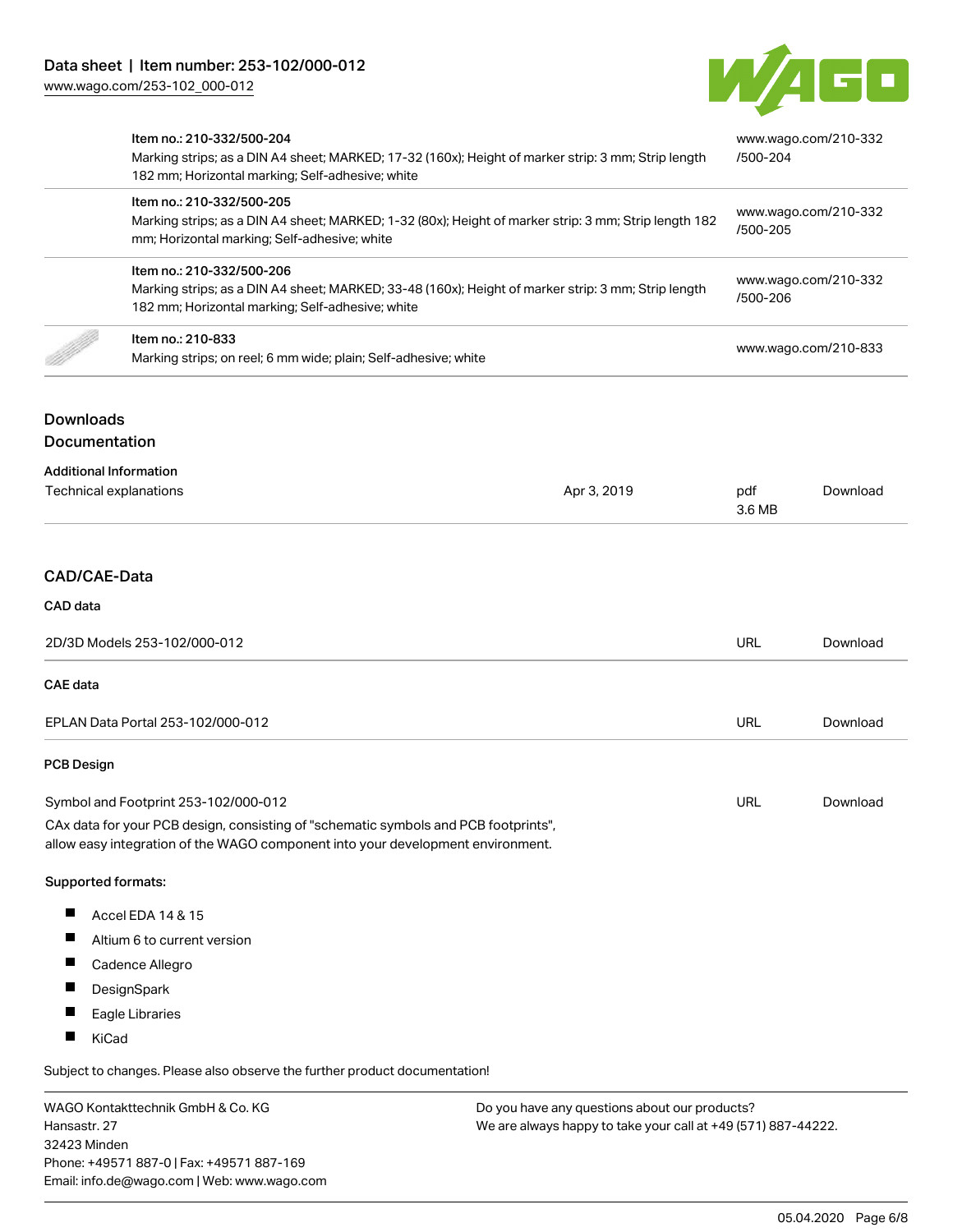

|                                                                                                                                                                                                                | Item no.: 210-332/500-204<br>Marking strips; as a DIN A4 sheet; MARKED; 17-32 (160x); Height of marker strip: 3 mm; Strip length<br>182 mm; Horizontal marking; Self-adhesive; white<br>Item no.: 210-332/500-205<br>Marking strips; as a DIN A4 sheet; MARKED; 1-32 (80x); Height of marker strip: 3 mm; Strip length 182<br>mm; Horizontal marking; Self-adhesive; white<br>Item no.: 210-332/500-206<br>Marking strips; as a DIN A4 sheet; MARKED; 33-48 (160x); Height of marker strip: 3 mm; Strip length<br>182 mm; Horizontal marking; Self-adhesive; white |               | www.wago.com/210-332<br>/500-204<br>www.wago.com/210-332<br>/500-205<br>www.wago.com/210-332<br>/500-206 |  |
|----------------------------------------------------------------------------------------------------------------------------------------------------------------------------------------------------------------|--------------------------------------------------------------------------------------------------------------------------------------------------------------------------------------------------------------------------------------------------------------------------------------------------------------------------------------------------------------------------------------------------------------------------------------------------------------------------------------------------------------------------------------------------------------------|---------------|----------------------------------------------------------------------------------------------------------|--|
|                                                                                                                                                                                                                |                                                                                                                                                                                                                                                                                                                                                                                                                                                                                                                                                                    |               |                                                                                                          |  |
|                                                                                                                                                                                                                |                                                                                                                                                                                                                                                                                                                                                                                                                                                                                                                                                                    |               |                                                                                                          |  |
|                                                                                                                                                                                                                | Item no.: 210-833<br>Marking strips; on reel; 6 mm wide; plain; Self-adhesive; white                                                                                                                                                                                                                                                                                                                                                                                                                                                                               |               | www.wago.com/210-833                                                                                     |  |
| <b>Downloads</b><br>Documentation                                                                                                                                                                              |                                                                                                                                                                                                                                                                                                                                                                                                                                                                                                                                                                    |               |                                                                                                          |  |
| <b>Additional Information</b><br>Technical explanations<br>Apr 3, 2019                                                                                                                                         |                                                                                                                                                                                                                                                                                                                                                                                                                                                                                                                                                                    | pdf<br>3.6 MB | Download                                                                                                 |  |
| CAD/CAE-Data                                                                                                                                                                                                   |                                                                                                                                                                                                                                                                                                                                                                                                                                                                                                                                                                    |               |                                                                                                          |  |
| CAD data                                                                                                                                                                                                       |                                                                                                                                                                                                                                                                                                                                                                                                                                                                                                                                                                    |               |                                                                                                          |  |
| 2D/3D Models 253-102/000-012                                                                                                                                                                                   |                                                                                                                                                                                                                                                                                                                                                                                                                                                                                                                                                                    | <b>URL</b>    | Download                                                                                                 |  |
| <b>CAE</b> data                                                                                                                                                                                                |                                                                                                                                                                                                                                                                                                                                                                                                                                                                                                                                                                    |               |                                                                                                          |  |
| EPLAN Data Portal 253-102/000-012                                                                                                                                                                              |                                                                                                                                                                                                                                                                                                                                                                                                                                                                                                                                                                    | <b>URL</b>    | Download                                                                                                 |  |
| <b>PCB Design</b>                                                                                                                                                                                              |                                                                                                                                                                                                                                                                                                                                                                                                                                                                                                                                                                    |               |                                                                                                          |  |
| Symbol and Footprint 253-102/000-012<br>CAx data for your PCB design, consisting of "schematic symbols and PCB footprints",<br>allow easy integration of the WAGO component into your development environment. |                                                                                                                                                                                                                                                                                                                                                                                                                                                                                                                                                                    | <b>URL</b>    | Download                                                                                                 |  |
| Supported formats:                                                                                                                                                                                             |                                                                                                                                                                                                                                                                                                                                                                                                                                                                                                                                                                    |               |                                                                                                          |  |
| ш<br>ш<br>ш<br>ш<br>ш                                                                                                                                                                                          | Accel EDA 14 & 15<br>Altium 6 to current version<br>Cadence Allegro<br>DesignSpark<br>Eagle Libraries                                                                                                                                                                                                                                                                                                                                                                                                                                                              |               |                                                                                                          |  |

Subject to changes. Please also observe the further product documentation!

WAGO Kontakttechnik GmbH & Co. KG Hansastr. 27 32423 Minden Phone: +49571 887-0 | Fax: +49571 887-169 Email: info.de@wago.com | Web: www.wago.com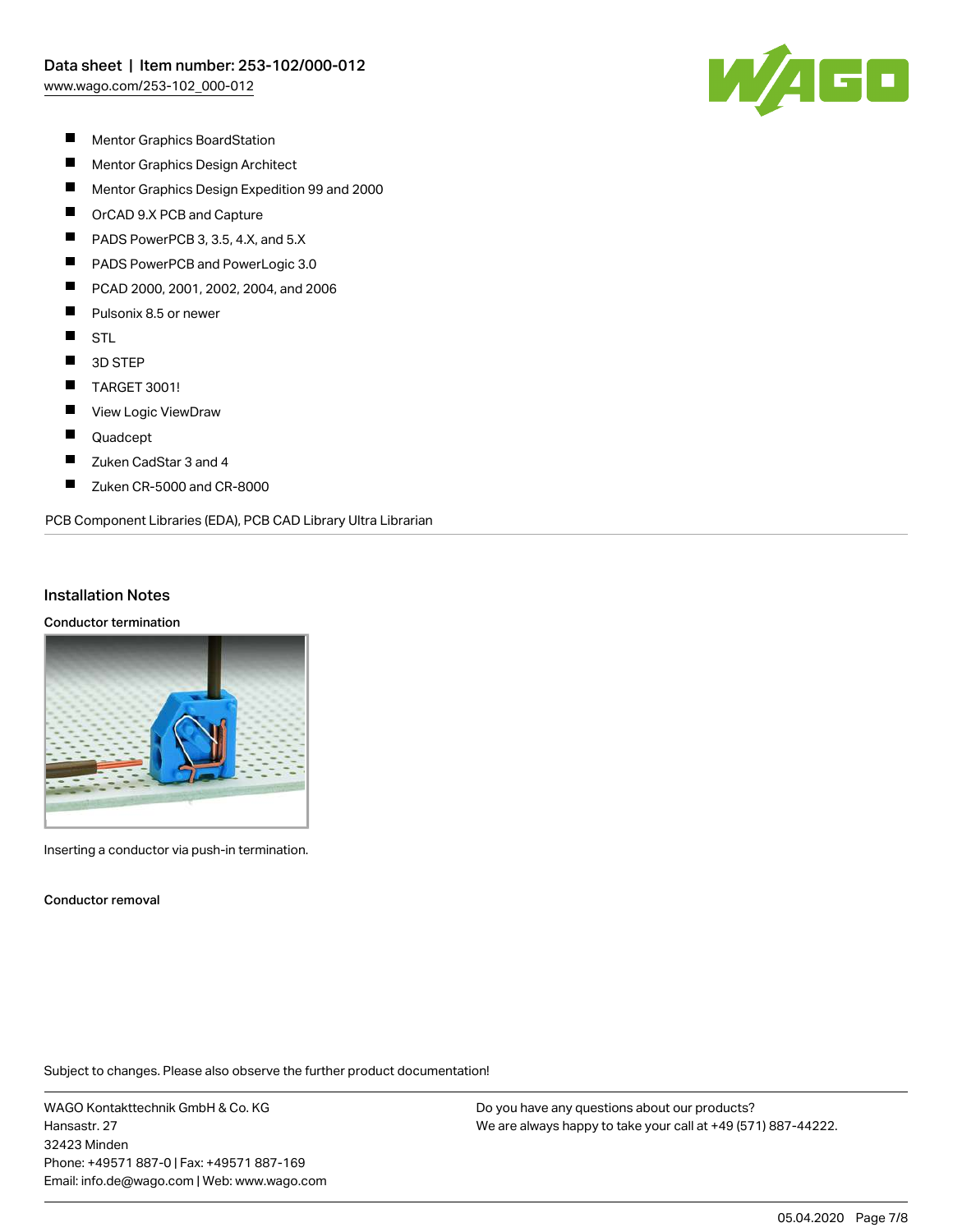

- $\blacksquare$ Mentor Graphics BoardStation
- $\blacksquare$ Mentor Graphics Design Architect
- $\blacksquare$ Mentor Graphics Design Expedition 99 and 2000
- $\blacksquare$ OrCAD 9.X PCB and Capture
- $\blacksquare$ PADS PowerPCB 3, 3.5, 4.X, and 5.X
- П PADS PowerPCB and PowerLogic 3.0
- П PCAD 2000, 2001, 2002, 2004, and 2006
- П Pulsonix 8.5 or newer
- $\blacksquare$ **STL**
- $\blacksquare$ 3D STEP
- $\blacksquare$ TARGET 3001!
- $\blacksquare$ View Logic ViewDraw
- $\blacksquare$ Quadcept
- $\blacksquare$ Zuken CadStar 3 and 4
- $\blacksquare$ Zuken CR-5000 and CR-8000

PCB Component Libraries (EDA), PCB CAD Library Ultra Librarian

#### Installation Notes

#### Conductor termination



Inserting a conductor via push-in termination.

Conductor removal

Subject to changes. Please also observe the further product documentation!

WAGO Kontakttechnik GmbH & Co. KG Hansastr. 27 32423 Minden Phone: +49571 887-0 | Fax: +49571 887-169 Email: info.de@wago.com | Web: www.wago.com